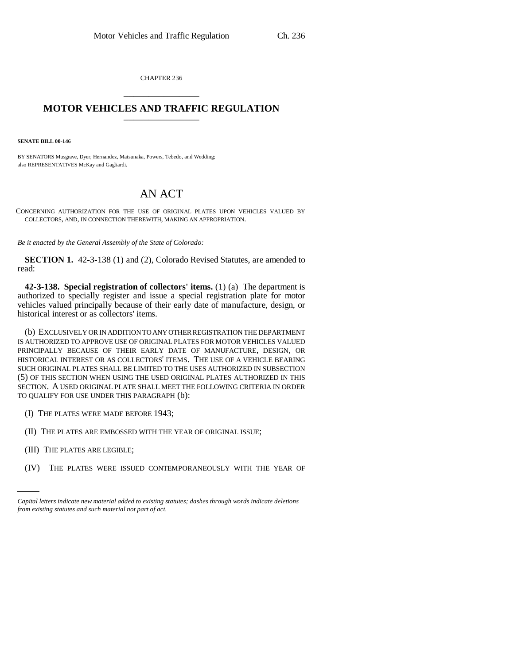CHAPTER 236 \_\_\_\_\_\_\_\_\_\_\_\_\_\_\_

## **MOTOR VEHICLES AND TRAFFIC REGULATION** \_\_\_\_\_\_\_\_\_\_\_\_\_\_\_

**SENATE BILL 00-146** 

BY SENATORS Musgrave, Dyer, Hernandez, Matsunaka, Powers, Tebedo, and Wedding; also REPRESENTATIVES McKay and Gagliardi.

## AN ACT

CONCERNING AUTHORIZATION FOR THE USE OF ORIGINAL PLATES UPON VEHICLES VALUED BY COLLECTORS, AND, IN CONNECTION THEREWITH, MAKING AN APPROPRIATION.

*Be it enacted by the General Assembly of the State of Colorado:*

**SECTION 1.** 42-3-138 (1) and (2), Colorado Revised Statutes, are amended to read:

**42-3-138. Special registration of collectors' items.** (1) (a) The department is authorized to specially register and issue a special registration plate for motor vehicles valued principally because of their early date of manufacture, design, or historical interest or as collectors' items.

(b) EXCLUSIVELY OR IN ADDITION TO ANY OTHER REGISTRATION THE DEPARTMENT IS AUTHORIZED TO APPROVE USE OF ORIGINAL PLATES FOR MOTOR VEHICLES VALUED PRINCIPALLY BECAUSE OF THEIR EARLY DATE OF MANUFACTURE, DESIGN, OR HISTORICAL INTEREST OR AS COLLECTORS' ITEMS. THE USE OF A VEHICLE BEARING SUCH ORIGINAL PLATES SHALL BE LIMITED TO THE USES AUTHORIZED IN SUBSECTION (5) OF THIS SECTION WHEN USING THE USED ORIGINAL PLATES AUTHORIZED IN THIS SECTION. A USED ORIGINAL PLATE SHALL MEET THE FOLLOWING CRITERIA IN ORDER TO QUALIFY FOR USE UNDER THIS PARAGRAPH (b):

- (I) THE PLATES WERE MADE BEFORE 1943;
- (II) THE PLATES ARE EMBOSSED WITH THE YEAR OF ORIGINAL ISSUE;
- (III) THE PLATES ARE LEGIBLE;
	- (IV) THE PLATES WERE ISSUED CONTEMPORANEOUSLY WITH THE YEAR OF

*Capital letters indicate new material added to existing statutes; dashes through words indicate deletions from existing statutes and such material not part of act.*